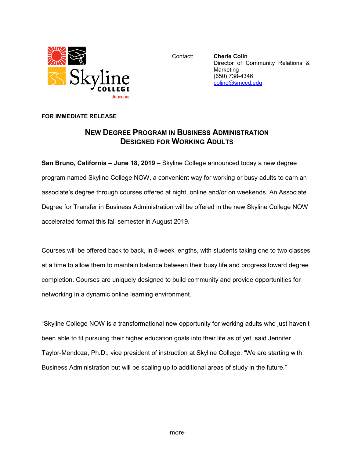

Contact: **Cherie Colin** Director of Community Relations & Marketing (650) 738-4346 [colinc@smccd.edu](mailto:colinc@smccd.edu)

## **FOR IMMEDIATE RELEASE**

## **NEW DEGREE PROGRAM IN BUSINESS ADMINISTRATION DESIGNED FOR WORKING ADULTS**

**San Bruno, California – June 18, 2019** – Skyline College announced today a new degree program named Skyline College NOW, a convenient way for working or busy adults to earn an associate's degree through courses offered at night, online and/or on weekends. An Associate Degree for Transfer in Business Administration will be offered in the new Skyline College NOW accelerated format this fall semester in August 2019.

Courses will be offered back to back, in 8-week lengths, with students taking one to two classes at a time to allow them to maintain balance between their busy life and progress toward degree completion. Courses are uniquely designed to build community and provide opportunities for networking in a dynamic online learning environment.

"Skyline College NOW is a transformational new opportunity for working adults who just haven't been able to fit pursuing their higher education goals into their life as of yet, said Jennifer Taylor-Mendoza, Ph.D., vice president of instruction at Skyline College. "We are starting with Business Administration but will be scaling up to additional areas of study in the future."